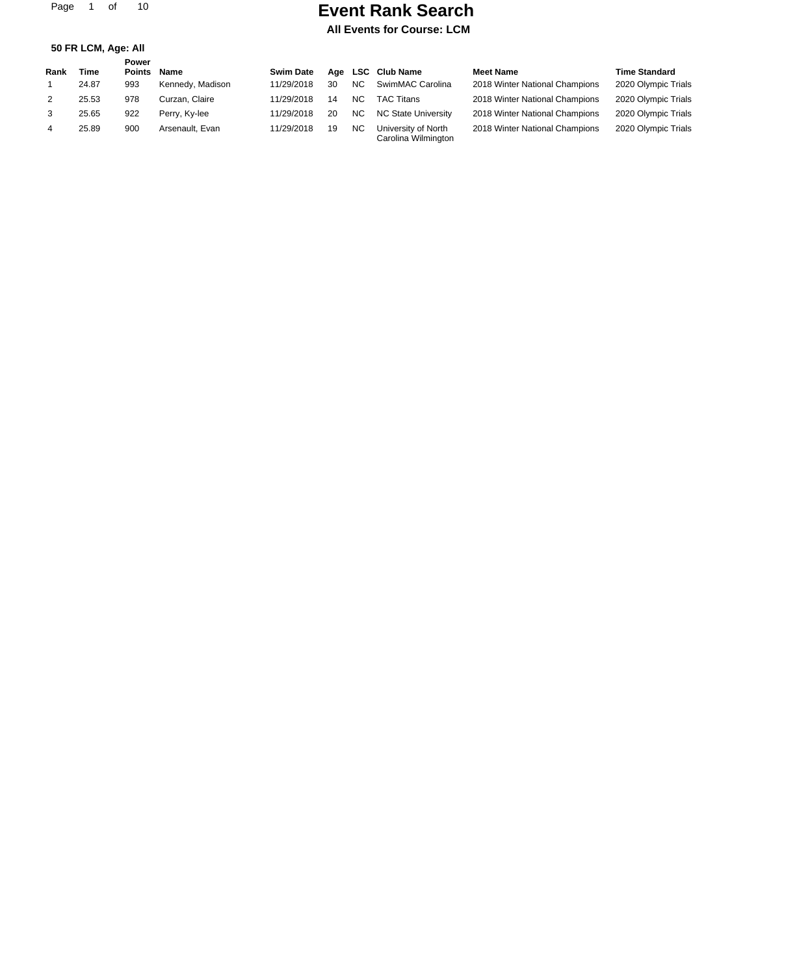Page 1 of 10

# **Event Rank Search**

|  | 50 FR LCM, Age: All |  |
|--|---------------------|--|

|      |       | Power  |                  |                  |    |                |                                            |                                |                      |
|------|-------|--------|------------------|------------------|----|----------------|--------------------------------------------|--------------------------------|----------------------|
| Rank | Time  | Points | Name             | <b>Swim Date</b> |    |                | Age LSC Club Name                          | <b>Meet Name</b>               | <b>Time Standard</b> |
|      | 24.87 | 993    | Kennedy, Madison | 11/29/2018       | 30 | N <sub>C</sub> | SwimMAC Carolina                           | 2018 Winter National Champions | 2020 Olympic Trials  |
| 2    | 25.53 | 978    | Curzan. Claire   | 11/29/2018       | 14 | NC.            | <b>TAC Titans</b>                          | 2018 Winter National Champions | 2020 Olympic Trials  |
| 3    | 25.65 | 922    | Perry, Ky-lee    | 11/29/2018       | 20 | <b>NC</b>      | NC State University                        | 2018 Winter National Champions | 2020 Olympic Trials  |
| 4    | 25.89 | 900    | Arsenault, Evan  | 11/29/2018       | 19 | <b>NC</b>      | University of North<br>Carolina Wilmington | 2018 Winter National Champions | 2020 Olympic Trials  |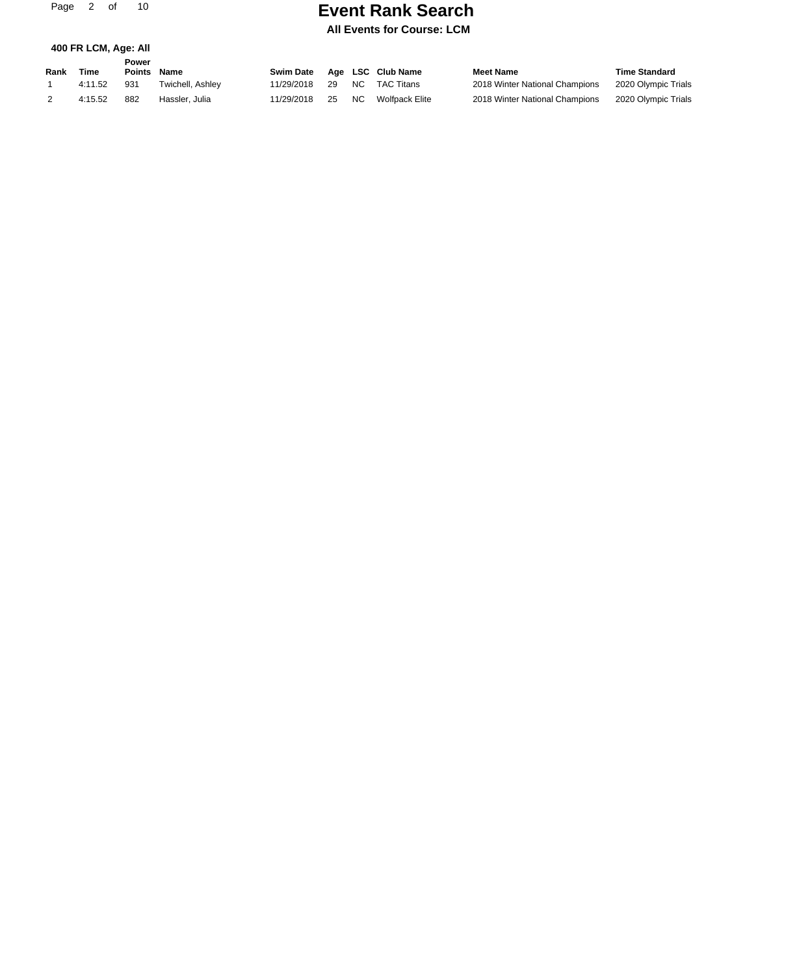Page 2 of 10

**400 FR LCM, Age: All**

# **Event Rank Search**

|      |             | Power  |                  |            |     |      |                   |                                |                      |
|------|-------------|--------|------------------|------------|-----|------|-------------------|--------------------------------|----------------------|
| Rank | <b>Time</b> | Points | <b>Name</b>      | Swim Date  |     |      | Age LSC Club Name | <b>Meet Name</b>               | <b>Time Standard</b> |
|      | 4:11.52     | 931    | Twichell. Ashlev | 11/29/2018 | -29 | NC . | TAC Titans        | 2018 Winter National Champions | 2020 Olympic Trials  |
|      | 4:15.52     | 882    | Hassler, Julia   | 11/29/2018 | 25  | NC . | Wolfpack Elite    | 2018 Winter National Champions | 2020 Olympic Trials  |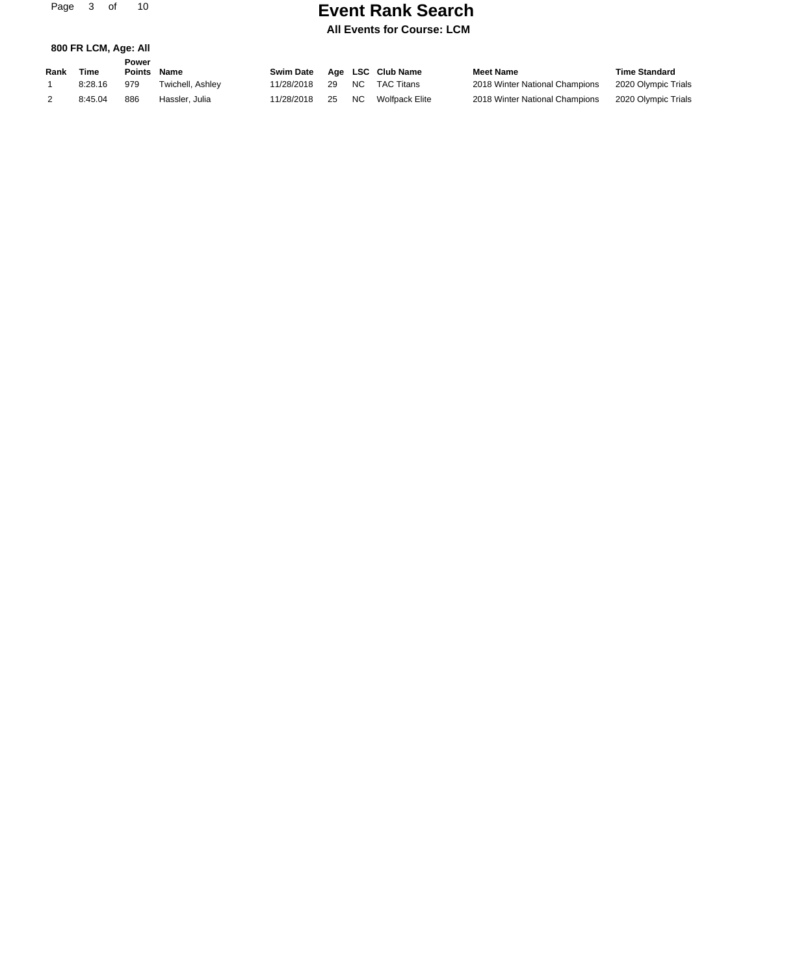Page 3 of 10

**800 FR LCM, Age: All**

# **Event Rank Search**

|      |         | Power  |                  |            |     |      |                   |                                |                      |
|------|---------|--------|------------------|------------|-----|------|-------------------|--------------------------------|----------------------|
| Rank | Time    | Points | Name             | Swim Date  |     |      | Age LSC Club Name | <b>Meet Name</b>               | <b>Time Standard</b> |
|      | 8:28.16 | 979    | Twichell. Ashlev | 11/28/2018 | -29 | NC . | TAC Titans        | 2018 Winter National Champions | 2020 Olympic Trials  |
|      | 8:45.04 | 886    | Hassler, Julia   | 11/28/2018 | 25  | NC . | Wolfpack Elite    | 2018 Winter National Champions | 2020 Olympic Trials  |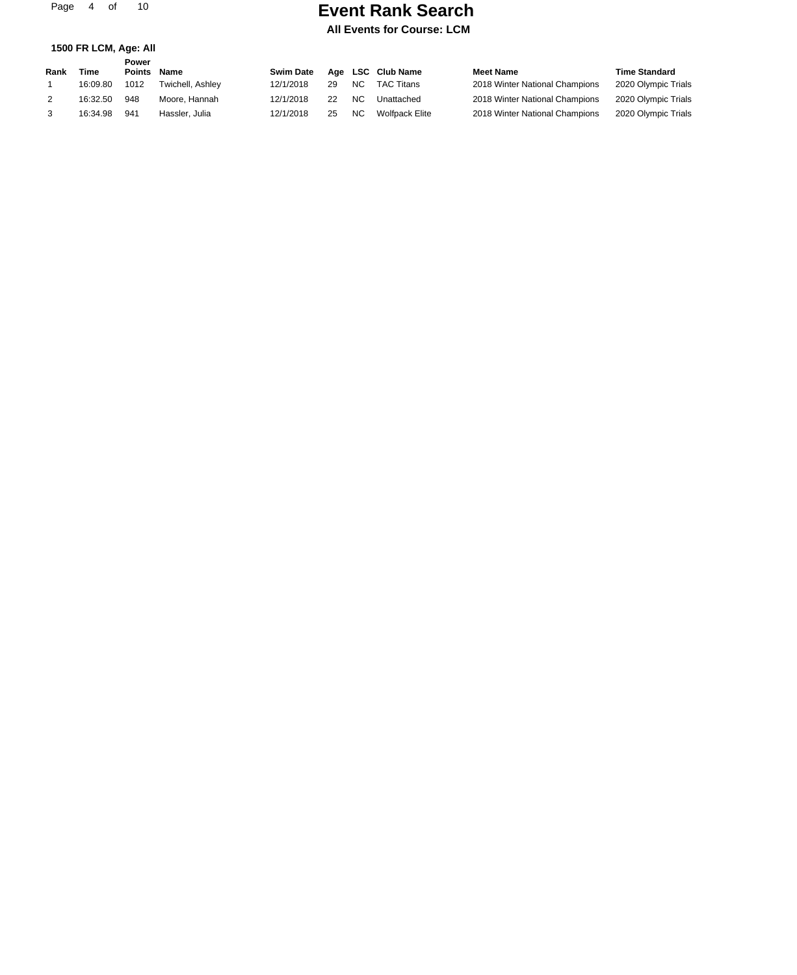Page 4 of 10

**1500 FR LCM, Age: All**

# **Event Rank Search**

|      |          | Power         |                  |                  |    |                |                       |                                |                      |
|------|----------|---------------|------------------|------------------|----|----------------|-----------------------|--------------------------------|----------------------|
| Rank | Time     | <b>Points</b> | <b>Name</b>      | <b>Swim Date</b> |    |                | Age LSC Club Name     | <b>Meet Name</b>               | <b>Time Standard</b> |
|      | 16:09.80 | 1012          | Twichell, Ashley | 12/1/2018        | 29 | NC.            | <b>TAC Titans</b>     | 2018 Winter National Champions | 2020 Olympic Trials  |
|      | 16:32.50 | 948           | Moore, Hannah    | 12/1/2018        | 22 | N <sub>C</sub> | Unattached            | 2018 Winter National Champions | 2020 Olympic Trials  |
|      | 16:34.98 | 941           | Hassler, Julia   | 12/1/2018        | 25 | NC.            | <b>Wolfpack Elite</b> | 2018 Winter National Champions | 2020 Olympic Trials  |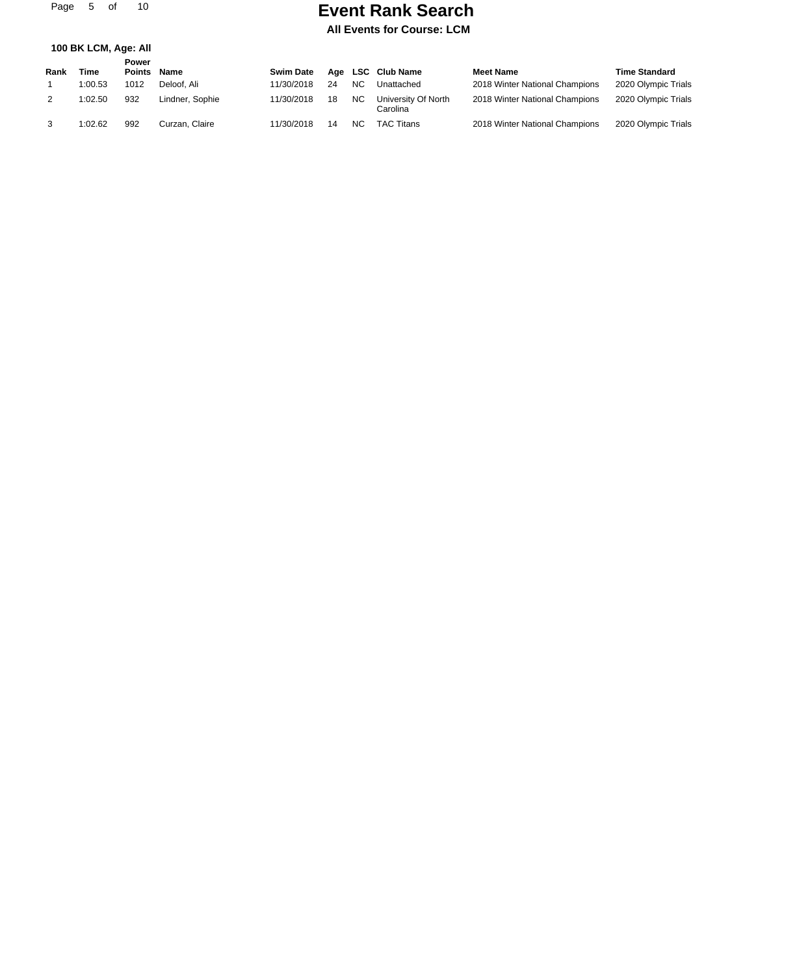**100 BK LCM, Age: All**

### **Event Rank Search**

| Rank | Time    | Power<br><b>Points</b> | <b>Name</b>     | <b>Swim Date</b> |    |                | Age LSC Club Name               | <b>Meet Name</b>               | <b>Time Standard</b> |
|------|---------|------------------------|-----------------|------------------|----|----------------|---------------------------------|--------------------------------|----------------------|
|      | 1:00.53 | 1012                   | Deloof, Ali     | 11/30/2018       | 24 | N <sub>C</sub> | Unattached                      | 2018 Winter National Champions | 2020 Olympic Trials  |
| 2    | 1:02.50 | 932                    | Lindner, Sophie | 11/30/2018       | 18 | <b>NC</b>      | University Of North<br>Carolina | 2018 Winter National Champions | 2020 Olympic Trials  |
| 3    | 1:02.62 | 992                    | Curzan, Claire  | 11/30/2018       | 14 | NC.            | TAC Titans                      | 2018 Winter National Champions | 2020 Olympic Trials  |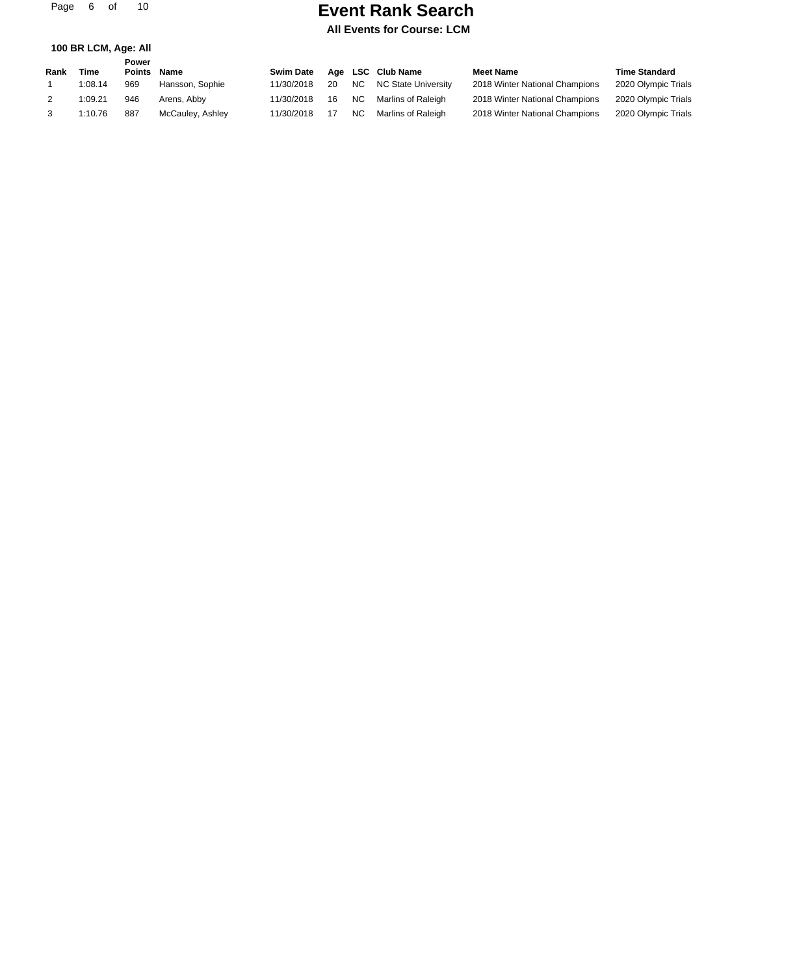Page 6 of 10

### **Event Rank Search**

**All Events for Course: LCM**

#### **100 BR LCM, Age: All**

|      |         | Power  |                  |                  |    |      |                     |                                |                      |
|------|---------|--------|------------------|------------------|----|------|---------------------|--------------------------------|----------------------|
| Rank | Time    | Points | Name             | <b>Swim Date</b> |    |      | Age LSC Club Name   | <b>Meet Name</b>               | <b>Time Standard</b> |
|      | 1:08.14 | 969    | Hansson, Sophie  | 11/30/2018       | 20 | NC . | NC State Universitv | 2018 Winter National Champions | 2020 Olympic Trials  |
|      | 1:09.21 | 946    | Arens, Abby      | 11/30/2018       | 16 | NC.  | Marlins of Raleigh  | 2018 Winter National Champions | 2020 Olympic Trials  |
|      | 1:10.76 | 887    | McCauley, Ashley | 11/30/2018       |    | NC.  | Marlins of Raleigh  | 2018 Winter National Champions | 2020 Olympic Trials  |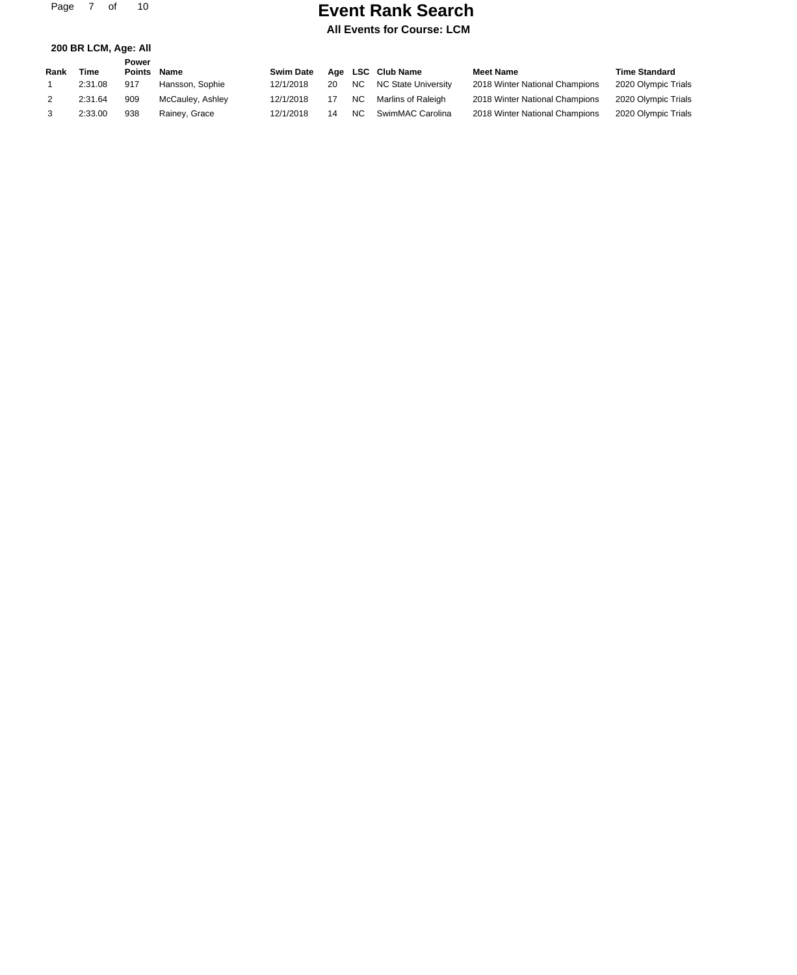Page 7 of 10

**200 BR LCM, Age: All**

## **Event Rank Search**

|      |         | Power         |                  |                  |    |           |                     |                                |                      |
|------|---------|---------------|------------------|------------------|----|-----------|---------------------|--------------------------------|----------------------|
| Rank | Time    | <b>Points</b> | Name             | <b>Swim Date</b> |    |           | Age LSC Club Name   | <b>Meet Name</b>               | <b>Time Standard</b> |
|      | 2:31.08 | 917           | Hansson, Sophie  | 12/1/2018        | 20 | NC.       | NC State Universitv | 2018 Winter National Champions | 2020 Olympic Trials  |
|      | 2:31.64 | 909           | McCauley, Ashley | 12/1/2018        | 17 | <b>NC</b> | Marlins of Raleigh  | 2018 Winter National Champions | 2020 Olympic Trials  |
|      | 2:33.00 | 938           | Rainey, Grace    | 12/1/2018        | 14 | <b>NC</b> | SwimMAC Carolina    | 2018 Winter National Champions | 2020 Olympic Trials  |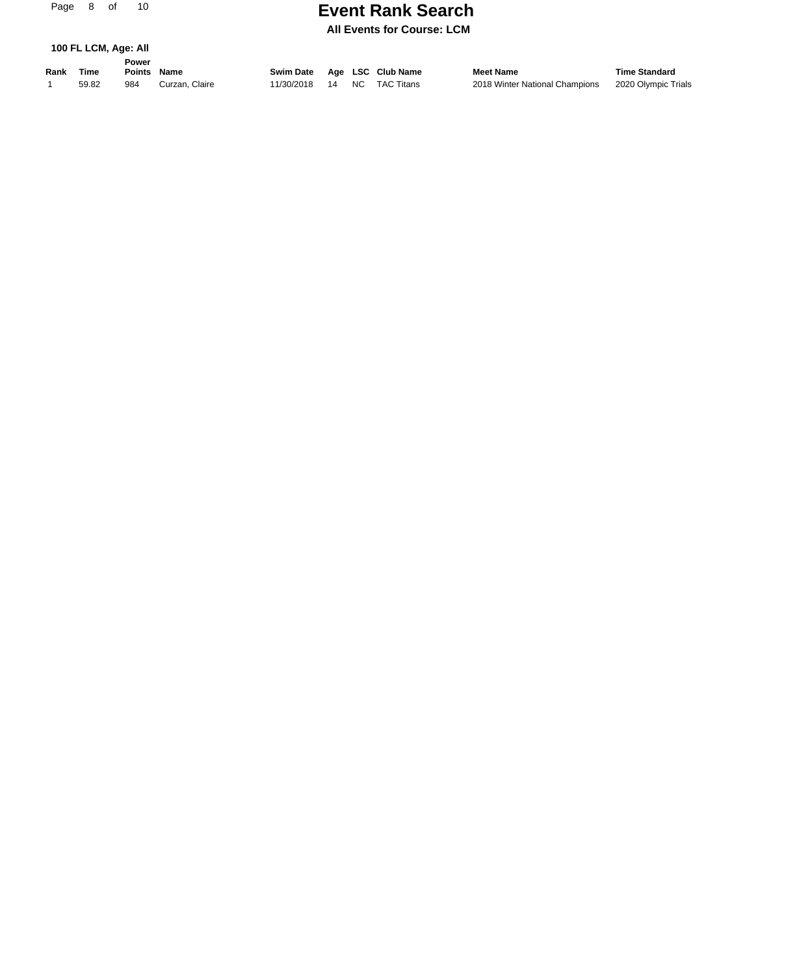Page 8 of

# **Event Rank Search Page 21**

**All Events for Course: LCM**

| 100 FL LCM, Age: All |  |  |
|----------------------|--|--|
|----------------------|--|--|

**Rank Time Name Swim Date Age LSC Club Name Meet Name Time Standard Power Points**

1 59.82 984 Curzan, Claire 11/30/2018 14 NC TAC Titans 2018 Winter National Champions 2020 Olympic Trials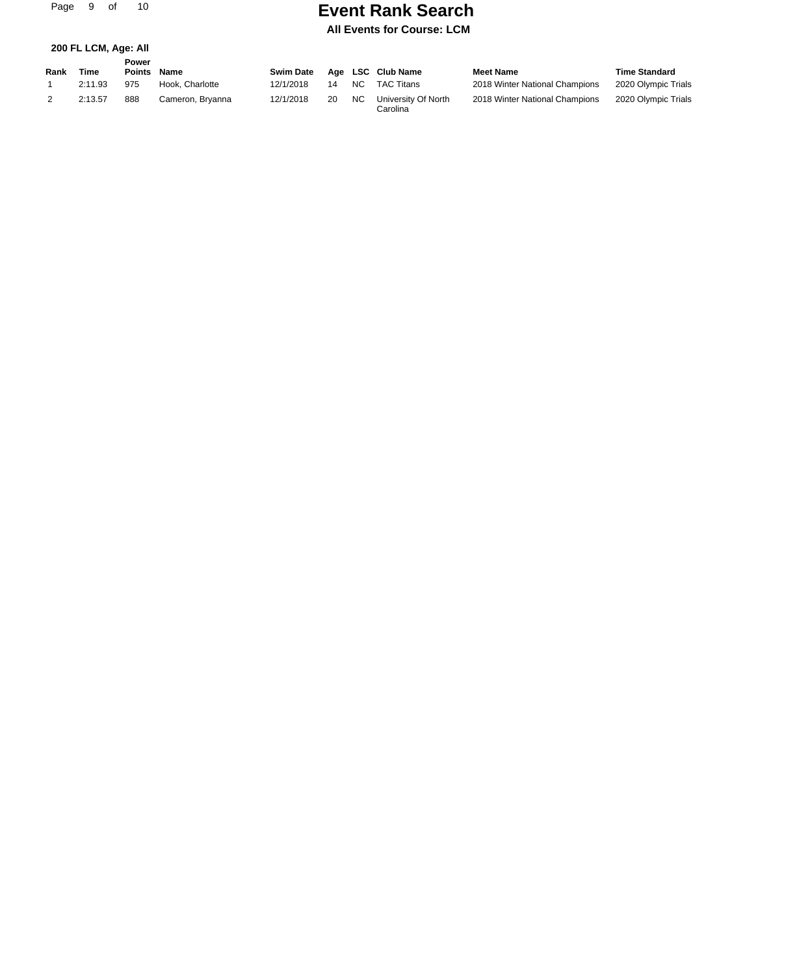Page 9 of 10

## **Event Rank Search**

|  |  | 200 FL LCM, Age: All |  |  |
|--|--|----------------------|--|--|
|--|--|----------------------|--|--|

| Rank | Time    | Power<br><b>Points</b> | Name             | <b>Swim Date</b> |    |                | Age LSC Club Name               | <b>Meet Name</b>               | <b>Time Standard</b> |
|------|---------|------------------------|------------------|------------------|----|----------------|---------------------------------|--------------------------------|----------------------|
|      | 2:11.93 | 975                    | Hook. Charlotte  | 12/1/2018        | 14 | N <sub>C</sub> | <b>TAC Titans</b>               | 2018 Winter National Champions | 2020 Olympic Trials  |
|      | 2:13.57 | 888                    | Cameron, Bryanna | 12/1/2018        | 20 | <b>NC</b>      | University Of North<br>Carolina | 2018 Winter National Champions | 2020 Olympic Trials  |